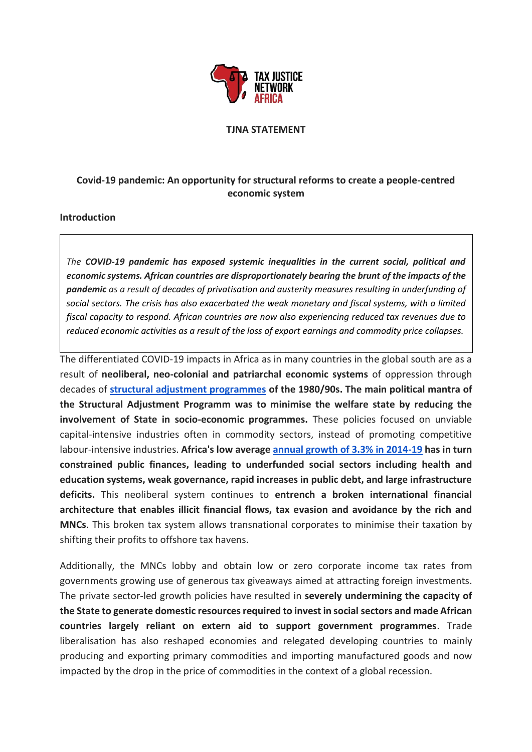

## **TJNA STATEMENT**

## **Covid-19 pandemic: An opportunity for structural reforms to create a people-centred economic system**

## **Introduction**

*The COVID-19 pandemic has exposed systemic inequalities in the current social, political and economic systems. African countries are disproportionately bearing the brunt of the impacts of the pandemic as a result of decades of privatisation and austerity measures resulting in underfunding of social sectors. The crisis has also exacerbated the weak monetary and fiscal systems, with a limited fiscal capacity to respond. African countries are now also experiencing reduced tax revenues due to reduced economic activities as a result of the loss of export earnings and commodity price collapses.* 

The differentiated COVID-19 impacts in Africa as in many countries in the global south are as a result of **neoliberal, neo-colonial and patriarchal economic systems** of oppression through decades of **[structural adjustment programmes](https://ageconsearch.umn.edu/bitstream/155490/2/4_Heidhues.pdf) of the 1980/90s. The main political mantra of the Structural Adjustment Programm was to minimise the welfare state by reducing the involvement of State in socio-economic programmes.** These policies focused on unviable capital-intensive industries often in commodity sectors, instead of promoting competitive labour-intensive industries. **Africa's low average [annual growth of 3.3% in 2014-19](http://pubdocs.worldbank.org/en/307811542818500671/Global-Economic-Prospects-Jan-2019-Sub-Saharan-Africa-analysis.pdf) has in turn constrained public finances, leading to underfunded social sectors including health and education systems, weak governance, rapid increases in public debt, and large infrastructure deficits.** This neoliberal system continues to **entrench a broken international financial architecture that enables illicit financial flows, tax evasion and avoidance by the rich and MNCs**. This broken tax system allows transnational corporates to minimise their taxation by shifting their profits to offshore tax havens.

Additionally, the MNCs lobby and obtain low or zero corporate income tax rates from governments growing use of generous tax giveaways aimed at attracting foreign investments. The private sector-led growth policies have resulted in **severely undermining the capacity of the State to generate domestic resources required to invest in social sectors and made African countries largely reliant on extern aid to support government programmes**. Trade liberalisation has also reshaped economies and relegated developing countries to mainly producing and exporting primary commodities and importing manufactured goods and now impacted by the drop in the price of commodities in the context of a global recession.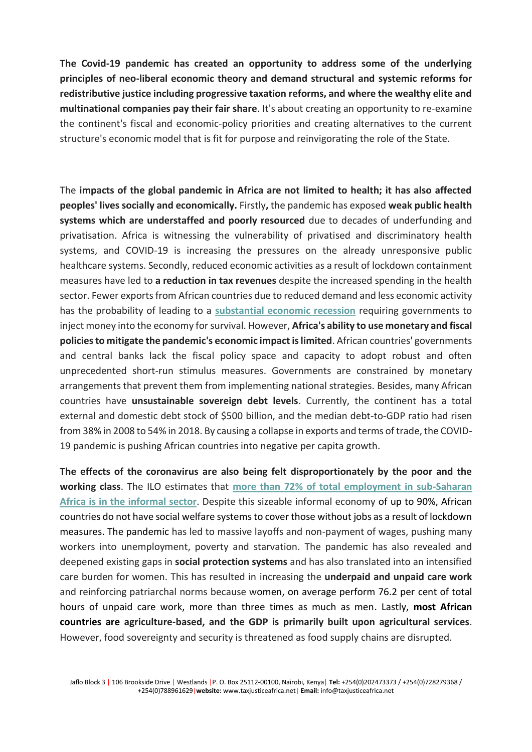**The Covid-19 pandemic has created an opportunity to address some of the underlying principles of neo-liberal economic theory and demand structural and systemic reforms for redistributive justice including progressive taxation reforms, and where the wealthy elite and multinational companies pay their fair share**. It's about creating an opportunity to re-examine the continent's fiscal and economic-policy priorities and creating alternatives to the current structure's economic model that is fit for purpose and reinvigorating the role of the State.

The **impacts of the global pandemic in Africa are not limited to health; it has also affected peoples' lives socially and economically.** Firstly**,** the pandemic has exposed **weak public health systems which are understaffed and poorly resourced** due to decades of underfunding and privatisation. Africa is witnessing the vulnerability of privatised and discriminatory health systems, and COVID-19 is increasing the pressures on the already unresponsive public healthcare systems. Secondly, reduced economic activities as a result of lockdown containment measures have led to **a reduction in tax revenues** despite the increased spending in the health sector. Fewer exports from African countries due to reduced demand and less economic activity has the probability of leading to a **[substantial economic recession](https://blogs.imf.org/2020/04/14/the-great-lockdown-worst-economic-downturn-since-the-great-depression/)** requiring governments to inject money into the economy for survival. However, **Africa's ability to use monetary and fiscal policies to mitigate the pandemic's economic impact is limited**. African countries' governments and central banks lack the fiscal policy space and capacity to adopt robust and often unprecedented short-run stimulus measures. Governments are constrained by monetary arrangements that prevent them from implementing national strategies. Besides, many African countries have **unsustainable sovereign debt levels**. Currently, the continent has a total external and domestic debt stock of \$500 billion, and the median debt-to-GDP ratio had risen from 38% in 2008 to 54% in 2018. By causing a collapse in exports and terms of trade, the COVID-19 pandemic is pushing African countries into negative per capita growth.

**The effects of the coronavirus are also being felt disproportionately by the poor and the working class**. The ILO estimates that **[more than 72% of total employment in sub-Saharan](http://conference.iza.org/conference_files/worldb2006/verick_s872.pdf)  [Africa is in the informal sector](http://conference.iza.org/conference_files/worldb2006/verick_s872.pdf)**. Despite this sizeable informal economy of up to 90%, African countries do not have social welfare systems to cover those without jobs as a result of lockdown measures. The pandemic has led to massive layoffs and non-payment of wages, pushing many workers into unemployment, poverty and starvation. The pandemic has also revealed and deepened existing gaps in **social protection systems** and has also translated into an intensified care burden for women. This has resulted in increasing the **underpaid and unpaid care work** and reinforcing patriarchal norms because women, on average perform 76.2 per cent of total hours of unpaid care work, more than three times as much as men. Lastly, **most African countries are agriculture-based, and the GDP is primarily built upon agricultural services**. However, food sovereignty and security is threatened as food supply chains are disrupted.